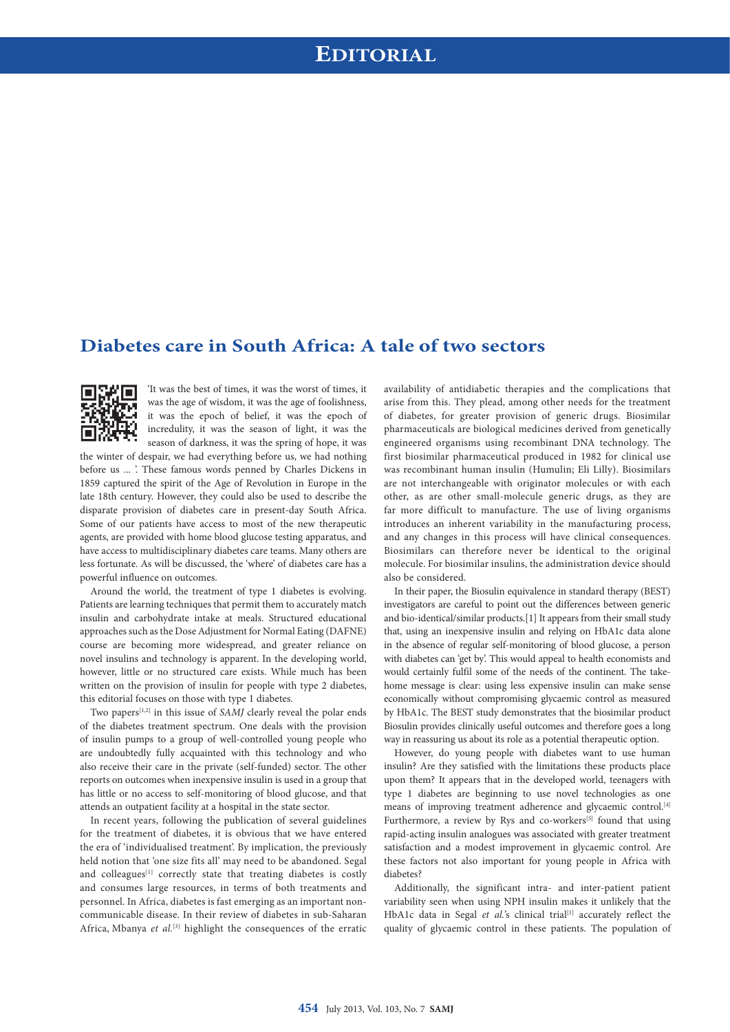## **Diabetes care in South Africa: A tale of two sectors**



'It was the best of times, it was the worst of times, it was the age of wisdom, it was the age of foolishness, it was the epoch of belief, it was the epoch of incredulity, it was the season of light, it was the season of darkness, it was the spring of hope, it was

the winter of despair, we had everything before us, we had nothing before us ... '. These famous words penned by Charles Dickens in 1859 captured the spirit of the Age of Revolution in Europe in the late 18th century. However, they could also be used to describe the disparate provision of diabetes care in present-day South Africa. Some of our patients have access to most of the new therapeutic agents, are provided with home blood glucose testing apparatus, and have access to multidisciplinary diabetes care teams. Many others are less fortunate. As will be discussed, the 'where' of diabetes care has a powerful influence on outcomes.

Around the world, the treatment of type 1 diabetes is evolving. Patients are learning techniques that permit them to accurately match insulin and carbohydrate intake at meals. Structured educational approaches such as the Dose Adjustment for Normal Eating (DAFNE) course are becoming more widespread, and greater reliance on novel insulins and technology is apparent. In the developing world, however, little or no structured care exists. While much has been written on the provision of insulin for people with type 2 diabetes, this editorial focuses on those with type 1 diabetes.

Two papers<sup>[1,2]</sup> in this issue of *SAMJ* clearly reveal the polar ends of the diabetes treatment spectrum. One deals with the provision of insulin pumps to a group of well-controlled young people who are undoubtedly fully acquainted with this technology and who also receive their care in the private (self-funded) sector. The other reports on outcomes when inexpensive insulin is used in a group that has little or no access to self-monitoring of blood glucose, and that attends an outpatient facility at a hospital in the state sector.

In recent years, following the publication of several guidelines for the treatment of diabetes, it is obvious that we have entered the era of 'individualised treatment'. By implication, the previously held notion that 'one size fits all' may need to be abandoned. Segal and colleagues<sup>[1]</sup> correctly state that treating diabetes is costly and consumes large resources, in terms of both treatments and personnel. In Africa, diabetes is fast emerging as an important noncommunicable disease. In their review of diabetes in sub-Saharan Africa, Mbanya et al.<sup>[3]</sup> highlight the consequences of the erratic availability of antidiabetic therapies and the complications that arise from this. They plead, among other needs for the treatment of diabetes, for greater provision of generic drugs. Biosimilar pharmaceuticals are biological medicines derived from genetically engineered organisms using recombinant DNA technology. The first biosimilar pharmaceutical produced in 1982 for clinical use was recombinant human insulin (Humulin; Eli Lilly). Biosimilars are not interchangeable with originator molecules or with each other, as are other small-molecule generic drugs, as they are far more difficult to manufacture. The use of living organisms introduces an inherent variability in the manufacturing process, and any changes in this process will have clinical consequences. Biosimilars can therefore never be identical to the original molecule. For biosimilar insulins, the administration device should also be considered.

In their paper, the Biosulin equivalence in standard therapy (BEST) investigators are careful to point out the differences between generic and bio-identical/similar products.[1] It appears from their small study that, using an inexpensive insulin and relying on HbA1c data alone in the absence of regular self-monitoring of blood glucose, a person with diabetes can 'get by'. This would appeal to health economists and would certainly fulfil some of the needs of the continent. The takehome message is clear: using less expensive insulin can make sense economically without compromising glycaemic control as measured by HbA1c. The BEST study demonstrates that the biosimilar product Biosulin provides clinically useful outcomes and therefore goes a long way in reassuring us about its role as a potential therapeutic option.

However, do young people with diabetes want to use human insulin? Are they satisfied with the limitations these products place upon them? It appears that in the developed world, teenagers with type 1 diabetes are beginning to use novel technologies as one means of improving treatment adherence and glycaemic control.[4] Furthermore, a review by Rys and co-workers<sup>[5]</sup> found that using rapid-acting insulin analogues was associated with greater treatment satisfaction and a modest improvement in glycaemic control. Are these factors not also important for young people in Africa with diabetes?

Additionally, the significant intra- and inter-patient patient variability seen when using NPH insulin makes it unlikely that the HbA1c data in Segal et al.'s clinical trial<sup>[1]</sup> accurately reflect the quality of glycaemic control in these patients. The population of